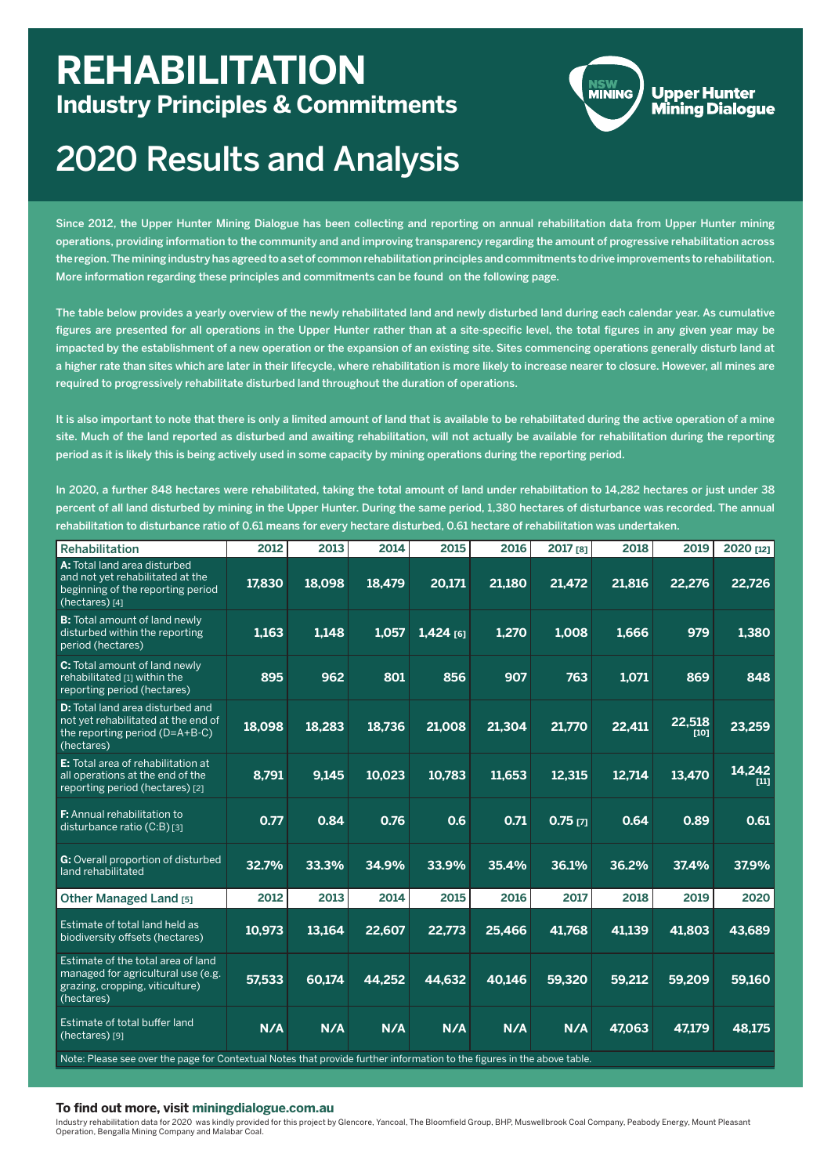| <b>Rehabilitation</b>                                                                                                          | 2012               | 2013   | 2014   | 2015        | 2016   | 2017 [8]              | 2018   | 2019             | 2020 [12]        |
|--------------------------------------------------------------------------------------------------------------------------------|--------------------|--------|--------|-------------|--------|-----------------------|--------|------------------|------------------|
| A: Total land area disturbed<br>and not yet rehabilitated at the<br>beginning of the reporting period<br>(hectares) [4]        | 17,830             | 18,098 | 18,479 | 20,171      | 21,180 | 21,472                | 21,816 | 22,276           | 22,726           |
| <b>B:</b> Total amount of land newly<br>disturbed within the reporting<br>period (hectares)                                    | $\overline{1,163}$ | 1,148  | 1,057  | $1,424$ [6] | 1,270  | 1,008                 | 1,666  | 979              | 1,380            |
| C: Total amount of land newly<br>rehabilitated [1] within the<br>reporting period (hectares)                                   | 895                | 962    | 801    | 856         | 907    | 763                   | 1,071  | 869              | 848              |
| <b>D:</b> Total land area disturbed and<br>not yet rehabilitated at the end of<br>the reporting period (D=A+B-C)<br>(hectares) | 18,098             | 18,283 | 18,736 | 21,008      | 21,304 | 21,770                | 22,411 | 22,518<br>$[10]$ | 23,259           |
| E: Total area of rehabilitation at<br>all operations at the end of the<br>reporting period (hectares) [2]                      | 8,791              | 9,145  | 10,023 | 10,783      | 11,653 | 12,315                | 12,714 | 13,470           | 14,242<br>$[11]$ |
| <b>F:</b> Annual rehabilitation to<br>disturbance ratio (C:B) [3]                                                              | 0.77               | 0.84   | 0.76   | 0.6         | 0.71   | $0.75$ <sub>[7]</sub> | 0.64   | 0.89             | 0.61             |
| G: Overall proportion of disturbed<br>land rehabilitated                                                                       | 32.7%              | 33.3%  | 34.9%  | 33.9%       | 35.4%  | 36.1%                 | 36.2%  | 37.4%            | 37.9%            |
| <b>Other Managed Land [5]</b>                                                                                                  | 2012               | 2013   | 2014   | 2015        | 2016   | 2017                  | 2018   | 2019             | 2020             |
| Estimate of total land held as<br>biodiversity offsets (hectares)                                                              | 10,973             | 13,164 | 22,607 | 22,773      | 25,466 | 41,768                | 41,139 | 41,803           | 43,689           |
| Estimate of the total area of land<br>managed for agricultural use (e.g.<br>grazing, cropping, viticulture)<br>(hectares)      | 57.533             | 60.174 | 44.252 | 44,632      | 40,146 | 59.320                | 59.212 | 59.209           | 59.160           |
| Estimate of total buffer land<br>(hectares) [9]                                                                                | N/A                | N/A    | N/A    | N/A         | N/A    | N/A                   | 47,063 | 47,179           | 48,175           |
| Note: Please see over the page for Contextual Notes that provide further information to the figures in the above table.        |                    |        |        |             |        |                       |        |                  |                  |

# 2020 Results and Analysis

### **To find out more, visit miningdialogue.com.au**

Since 2012, the Upper Hunter Mining Dialogue has been collecting and reporting on annual rehabilitation data from Upper Hunter mining operations, providing information to the community and and improving transparency regarding the amount of progressive rehabilitation across the region. The mining industry has agreed to a set of common rehabilitation principles and commitments to drive improvements to rehabilitation. More information regarding these principles and commitments can be found on the following page.

The table below provides a yearly overview of the newly rehabilitated land and newly disturbed land during each calendar year. As cumulative figures are presented for all operations in the Upper Hunter rather than at a site-specific level, the total figures in any given year may be impacted by the establishment of a new operation or the expansion of an existing site. Sites commencing operations generally disturb land at a higher rate than sites which are later in their lifecycle, where rehabilitation is more likely to increase nearer to closure. However, all mines are required to progressively rehabilitate disturbed land throughout the duration of operations.

## **REHABILITATION Industry Principles & Commitments**



**Upper Hunter Mining Dialogue** 

It is also important to note that there is only a limited amount of land that is available to be rehabilitated during the active operation of a mine site. Much of the land reported as disturbed and awaiting rehabilitation, will not actually be available for rehabilitation during the reporting period as it is likely this is being actively used in some capacity by mining operations during the reporting period.

In 2020, a further 848 hectares were rehabilitated, taking the total amount of land under rehabilitation to 14,282 hectares or just under 38 percent of all land disturbed by mining in the Upper Hunter. During the same period, 1,380 hectares of disturbance was recorded. The annual rehabilitation to disturbance ratio of 0.61 means for every hectare disturbed, 0.61 hectare of rehabilitation was undertaken.

Industry rehabilitation data for 2020 was kindly provided for this project by Glencore, Yancoal, The Bloomfield Group, BHP, Muswellbrook Coal Company, Peabody Energy, Mount Pleasant Operation, Bengalla Mining Company and Malabar Coal.